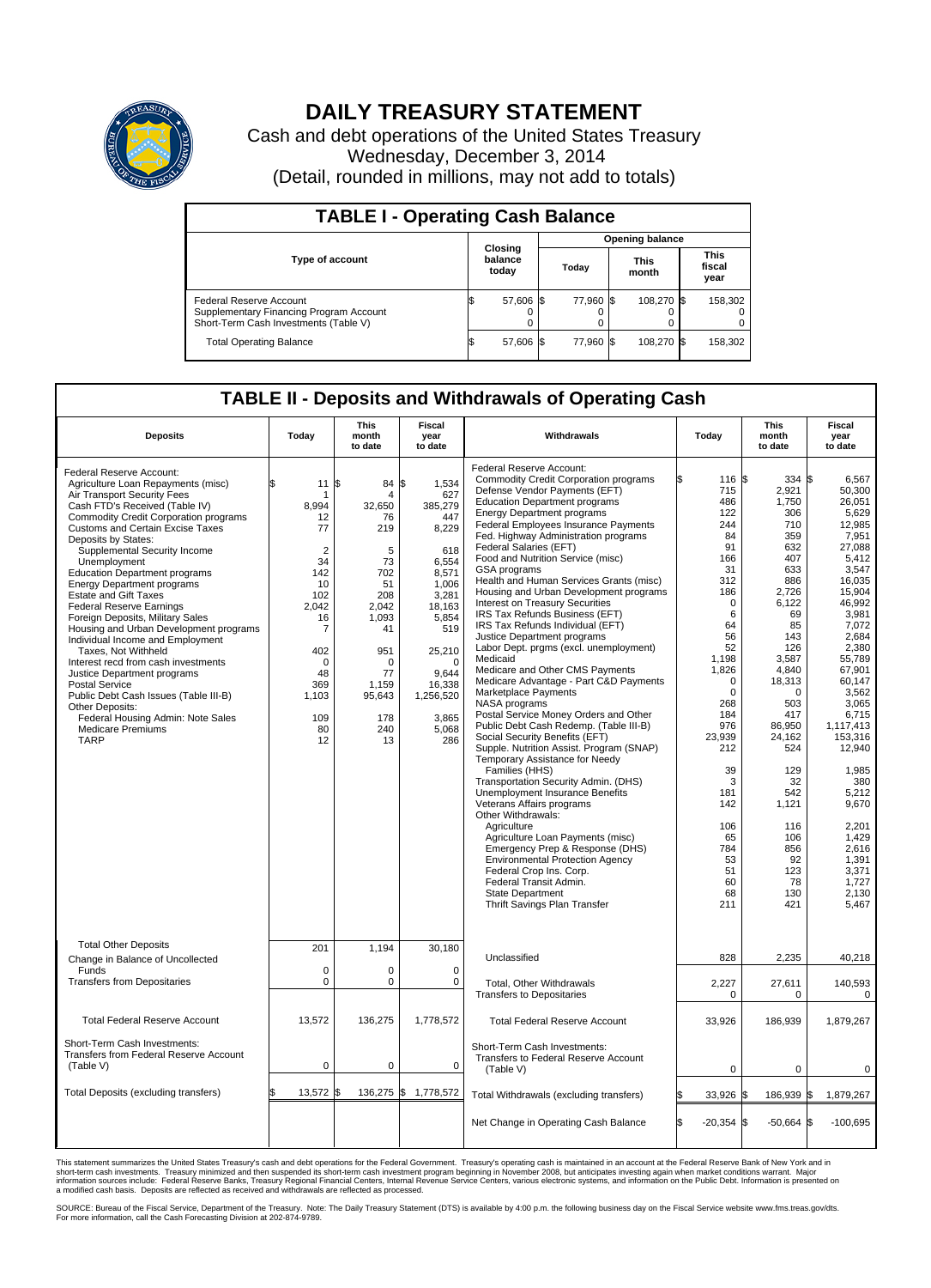

## **DAILY TREASURY STATEMENT**

Cash and debt operations of the United States Treasury Wednesday, December 3, 2014 (Detail, rounded in millions, may not add to totals)

| <b>TABLE I - Operating Cash Balance</b>                                                                     |  |                             |       |           |                      |            |                               |         |  |
|-------------------------------------------------------------------------------------------------------------|--|-----------------------------|-------|-----------|----------------------|------------|-------------------------------|---------|--|
| <b>Opening balance</b>                                                                                      |  |                             |       |           |                      |            |                               |         |  |
| <b>Type of account</b>                                                                                      |  | Closing<br>balance<br>today | Today |           | <b>This</b><br>month |            | <b>This</b><br>fiscal<br>year |         |  |
| Federal Reserve Account<br>Supplementary Financing Program Account<br>Short-Term Cash Investments (Table V) |  | 57,606 \$                   |       | 77.960 \$ |                      | 108.270 \$ |                               | 158,302 |  |
| <b>Total Operating Balance</b>                                                                              |  | 57,606 \$                   |       | 77.960 \$ |                      | 108,270 \$ |                               | 158,302 |  |

## **TABLE II - Deposits and Withdrawals of Operating Cash**

| <b>Deposits</b>                                                                                                                                                                                                                                                                                                                                                                                                                                                                                                                                                                                                                                                                                                                                                                                                                       | Today                                                                                                                                                        | <b>This</b><br>month<br>to date                                                                                                                                 | <b>Fiscal</b><br>year<br>to date                                                                                                                                                               | Withdrawals                                                                                                                                                                                                                                                                                                                                                                                                                                                                                                                                                                                                                                                                                                                                                                                                                                                                                                                                                                                                                                                                                                                                                                                                                                                                                                                                                              | Today                                                                                                                                                                                                                                                                         | <b>This</b><br>month<br>to date                                                                                                                                                                                                                                                      | <b>Fiscal</b><br>year<br>to date                                                                                                                                                                                                                                                                                                                         |  |  |  |  |
|---------------------------------------------------------------------------------------------------------------------------------------------------------------------------------------------------------------------------------------------------------------------------------------------------------------------------------------------------------------------------------------------------------------------------------------------------------------------------------------------------------------------------------------------------------------------------------------------------------------------------------------------------------------------------------------------------------------------------------------------------------------------------------------------------------------------------------------|--------------------------------------------------------------------------------------------------------------------------------------------------------------|-----------------------------------------------------------------------------------------------------------------------------------------------------------------|------------------------------------------------------------------------------------------------------------------------------------------------------------------------------------------------|--------------------------------------------------------------------------------------------------------------------------------------------------------------------------------------------------------------------------------------------------------------------------------------------------------------------------------------------------------------------------------------------------------------------------------------------------------------------------------------------------------------------------------------------------------------------------------------------------------------------------------------------------------------------------------------------------------------------------------------------------------------------------------------------------------------------------------------------------------------------------------------------------------------------------------------------------------------------------------------------------------------------------------------------------------------------------------------------------------------------------------------------------------------------------------------------------------------------------------------------------------------------------------------------------------------------------------------------------------------------------|-------------------------------------------------------------------------------------------------------------------------------------------------------------------------------------------------------------------------------------------------------------------------------|--------------------------------------------------------------------------------------------------------------------------------------------------------------------------------------------------------------------------------------------------------------------------------------|----------------------------------------------------------------------------------------------------------------------------------------------------------------------------------------------------------------------------------------------------------------------------------------------------------------------------------------------------------|--|--|--|--|
| Federal Reserve Account:<br>Agriculture Loan Repayments (misc)<br>Air Transport Security Fees<br>Cash FTD's Received (Table IV)<br><b>Commodity Credit Corporation programs</b><br><b>Customs and Certain Excise Taxes</b><br>Deposits by States:<br>Supplemental Security Income<br>Unemployment<br><b>Education Department programs</b><br><b>Energy Department programs</b><br><b>Estate and Gift Taxes</b><br><b>Federal Reserve Earnings</b><br>Foreign Deposits, Military Sales<br>Housing and Urban Development programs<br>Individual Income and Employment<br>Taxes, Not Withheld<br>Interest recd from cash investments<br>Justice Department programs<br><b>Postal Service</b><br>Public Debt Cash Issues (Table III-B)<br>Other Deposits:<br>Federal Housing Admin: Note Sales<br><b>Medicare Premiums</b><br><b>TARP</b> | \$<br>11<br>8,994<br>12<br>77<br>$\overline{2}$<br>34<br>142<br>10<br>102<br>2.042<br>16<br>7<br>402<br>$\mathbf 0$<br>48<br>369<br>1,103<br>109<br>80<br>12 | 84 \$<br>l\$<br>4<br>32,650<br>76<br>219<br>5<br>73<br>702<br>51<br>208<br>2.042<br>1,093<br>41<br>951<br>$\Omega$<br>77<br>1,159<br>95,643<br>178<br>240<br>13 | 1,534<br>627<br>385,279<br>447<br>8,229<br>618<br>6.554<br>8,571<br>1.006<br>3,281<br>18.163<br>5,854<br>519<br>25,210<br>$\mathbf 0$<br>9.644<br>16,338<br>1,256,520<br>3,865<br>5,068<br>286 | Federal Reserve Account:<br><b>Commodity Credit Corporation programs</b><br>Defense Vendor Payments (EFT)<br><b>Education Department programs</b><br><b>Energy Department programs</b><br><b>Federal Employees Insurance Payments</b><br>Fed. Highway Administration programs<br>Federal Salaries (EFT)<br>Food and Nutrition Service (misc)<br><b>GSA</b> programs<br>Health and Human Services Grants (misc)<br>Housing and Urban Development programs<br>Interest on Treasury Securities<br>IRS Tax Refunds Business (EFT)<br>IRS Tax Refunds Individual (EFT)<br>Justice Department programs<br>Labor Dept. prgms (excl. unemployment)<br>Medicaid<br>Medicare and Other CMS Payments<br>Medicare Advantage - Part C&D Payments<br>Marketplace Payments<br>NASA programs<br>Postal Service Money Orders and Other<br>Public Debt Cash Redemp. (Table III-B)<br>Social Security Benefits (EFT)<br>Supple. Nutrition Assist. Program (SNAP)<br>Temporary Assistance for Needy<br>Families (HHS)<br>Transportation Security Admin. (DHS)<br>Unemployment Insurance Benefits<br>Veterans Affairs programs<br>Other Withdrawals:<br>Agriculture<br>Agriculture Loan Payments (misc)<br>Emergency Prep & Response (DHS)<br><b>Environmental Protection Agency</b><br>Federal Crop Ins. Corp.<br>Federal Transit Admin.<br>State Department<br>Thrift Savings Plan Transfer | 116 \$<br>ß.<br>715<br>486<br>122<br>244<br>84<br>91<br>166<br>31<br>312<br>186<br>$\mathbf 0$<br>6<br>64<br>56<br>52<br>1,198<br>1,826<br>$\mathbf 0$<br>0<br>268<br>184<br>976<br>23,939<br>212<br>39<br>3<br>181<br>142<br>106<br>65<br>784<br>53<br>51<br>60<br>68<br>211 | $334$ \$<br>2,921<br>1,750<br>306<br>710<br>359<br>632<br>407<br>633<br>886<br>2,726<br>6,122<br>69<br>85<br>143<br>126<br>3,587<br>4,840<br>18,313<br>0<br>503<br>417<br>86,950<br>24.162<br>524<br>129<br>32<br>542<br>1,121<br>116<br>106<br>856<br>92<br>123<br>78<br>130<br>421 | 6,567<br>50,300<br>26,051<br>5,629<br>12,985<br>7,951<br>27.088<br>5,412<br>3.547<br>16.035<br>15,904<br>46,992<br>3.981<br>7,072<br>2,684<br>2,380<br>55,789<br>67,901<br>60.147<br>3,562<br>3,065<br>6,715<br>1,117,413<br>153,316<br>12,940<br>1,985<br>380<br>5.212<br>9,670<br>2,201<br>1,429<br>2.616<br>1.391<br>3,371<br>1,727<br>2.130<br>5,467 |  |  |  |  |
| <b>Total Other Deposits</b><br>Change in Balance of Uncollected                                                                                                                                                                                                                                                                                                                                                                                                                                                                                                                                                                                                                                                                                                                                                                       | 201                                                                                                                                                          | 1,194                                                                                                                                                           | 30,180                                                                                                                                                                                         | Unclassified                                                                                                                                                                                                                                                                                                                                                                                                                                                                                                                                                                                                                                                                                                                                                                                                                                                                                                                                                                                                                                                                                                                                                                                                                                                                                                                                                             | 828                                                                                                                                                                                                                                                                           | 2,235                                                                                                                                                                                                                                                                                | 40,218                                                                                                                                                                                                                                                                                                                                                   |  |  |  |  |
| Funds<br><b>Transfers from Depositaries</b>                                                                                                                                                                                                                                                                                                                                                                                                                                                                                                                                                                                                                                                                                                                                                                                           | $\mathbf 0$<br>$\mathbf 0$                                                                                                                                   | $\Omega$<br>0                                                                                                                                                   | $\Omega$<br>0                                                                                                                                                                                  | Total, Other Withdrawals<br><b>Transfers to Depositaries</b>                                                                                                                                                                                                                                                                                                                                                                                                                                                                                                                                                                                                                                                                                                                                                                                                                                                                                                                                                                                                                                                                                                                                                                                                                                                                                                             | 2,227<br>0                                                                                                                                                                                                                                                                    | 27,611<br>0                                                                                                                                                                                                                                                                          | 140,593<br>$\mathbf 0$                                                                                                                                                                                                                                                                                                                                   |  |  |  |  |
| <b>Total Federal Reserve Account</b>                                                                                                                                                                                                                                                                                                                                                                                                                                                                                                                                                                                                                                                                                                                                                                                                  | 13,572                                                                                                                                                       | 136,275                                                                                                                                                         | 1,778,572                                                                                                                                                                                      | <b>Total Federal Reserve Account</b>                                                                                                                                                                                                                                                                                                                                                                                                                                                                                                                                                                                                                                                                                                                                                                                                                                                                                                                                                                                                                                                                                                                                                                                                                                                                                                                                     | 33,926                                                                                                                                                                                                                                                                        | 186,939                                                                                                                                                                                                                                                                              | 1,879,267                                                                                                                                                                                                                                                                                                                                                |  |  |  |  |
| Short-Term Cash Investments:<br>Transfers from Federal Reserve Account<br>(Table V)                                                                                                                                                                                                                                                                                                                                                                                                                                                                                                                                                                                                                                                                                                                                                   | 0                                                                                                                                                            | 0                                                                                                                                                               | 0                                                                                                                                                                                              | Short-Term Cash Investments:<br>Transfers to Federal Reserve Account<br>(Table V)                                                                                                                                                                                                                                                                                                                                                                                                                                                                                                                                                                                                                                                                                                                                                                                                                                                                                                                                                                                                                                                                                                                                                                                                                                                                                        | $\mathbf 0$                                                                                                                                                                                                                                                                   | 0                                                                                                                                                                                                                                                                                    | 0                                                                                                                                                                                                                                                                                                                                                        |  |  |  |  |
| Total Deposits (excluding transfers)                                                                                                                                                                                                                                                                                                                                                                                                                                                                                                                                                                                                                                                                                                                                                                                                  | 13,572                                                                                                                                                       | \$                                                                                                                                                              | 136,275 \$ 1,778,572                                                                                                                                                                           | Total Withdrawals (excluding transfers)                                                                                                                                                                                                                                                                                                                                                                                                                                                                                                                                                                                                                                                                                                                                                                                                                                                                                                                                                                                                                                                                                                                                                                                                                                                                                                                                  | 33,926 \$                                                                                                                                                                                                                                                                     | 186,939 \$                                                                                                                                                                                                                                                                           | 1,879,267                                                                                                                                                                                                                                                                                                                                                |  |  |  |  |
|                                                                                                                                                                                                                                                                                                                                                                                                                                                                                                                                                                                                                                                                                                                                                                                                                                       |                                                                                                                                                              |                                                                                                                                                                 |                                                                                                                                                                                                | Net Change in Operating Cash Balance                                                                                                                                                                                                                                                                                                                                                                                                                                                                                                                                                                                                                                                                                                                                                                                                                                                                                                                                                                                                                                                                                                                                                                                                                                                                                                                                     | Ŝ.<br>$-20,354$ \$                                                                                                                                                                                                                                                            | $-50,664$ \$                                                                                                                                                                                                                                                                         | $-100,695$                                                                                                                                                                                                                                                                                                                                               |  |  |  |  |

This statement summarizes the United States Treasury's cash and debt operations for the Federal Government. Treasury's operating cash is maintained in an account at the Federal Reserve Bank of New York and in<br>short-term ca

SOURCE: Bureau of the Fiscal Service, Department of the Treasury. Note: The Daily Treasury Statement (DTS) is available by 4:00 p.m. the following business day on the Fiscal Service website www.fms.treas.gov/dts.<br>For more